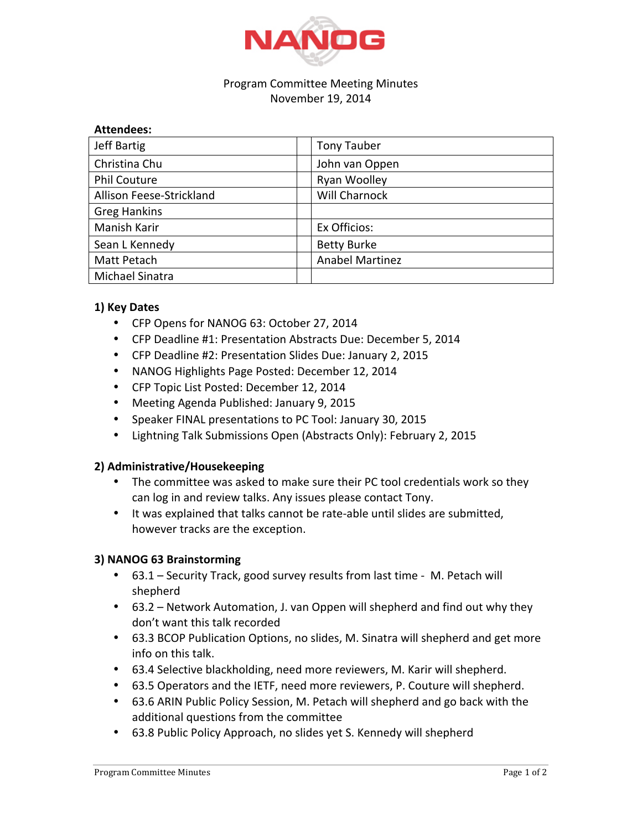

#### Program Committee Meeting Minutes November 19, 2014

| <b>Attendees:</b>        |                        |
|--------------------------|------------------------|
| Jeff Bartig              | <b>Tony Tauber</b>     |
| Christina Chu            | John van Oppen         |
| <b>Phil Couture</b>      | Ryan Woolley           |
| Allison Feese-Strickland | Will Charnock          |
| <b>Greg Hankins</b>      |                        |
| Manish Karir             | Ex Officios:           |
| Sean L Kennedy           | <b>Betty Burke</b>     |
| Matt Petach              | <b>Anabel Martinez</b> |
| Michael Sinatra          |                        |

# **1) Key Dates**

- CFP Opens for NANOG 63: October 27, 2014
- CFP Deadline #1: Presentation Abstracts Due: December 5, 2014
- CFP Deadline #2: Presentation Slides Due: January 2, 2015
- NANOG Highlights Page Posted: December 12, 2014
- CFP Topic List Posted: December 12, 2014
- Meeting Agenda Published: January 9, 2015
- Speaker FINAL presentations to PC Tool: January 30, 2015
- Lightning Talk Submissions Open (Abstracts Only): February 2, 2015

### **2) Administrative/Housekeeping**

- The committee was asked to make sure their PC tool credentials work so they can log in and review talks. Any issues please contact Tony.
- It was explained that talks cannot be rate-able until slides are submitted, however tracks are the exception.

### **3) NANOG 63 Brainstorming**

- 63.1 Security Track, good survey results from last time M. Petach will shepherd
- 63.2 Network Automation, J. van Oppen will shepherd and find out why they don't want this talk recorded
- 63.3 BCOP Publication Options, no slides, M. Sinatra will shepherd and get more info on this talk.
- 63.4 Selective blackholding, need more reviewers, M. Karir will shepherd.
- 63.5 Operators and the IETF, need more reviewers, P. Couture will shepherd.
- 63.6 ARIN Public Policy Session, M. Petach will shepherd and go back with the additional questions from the committee
- 63.8 Public Policy Approach, no slides yet S. Kennedy will shepherd